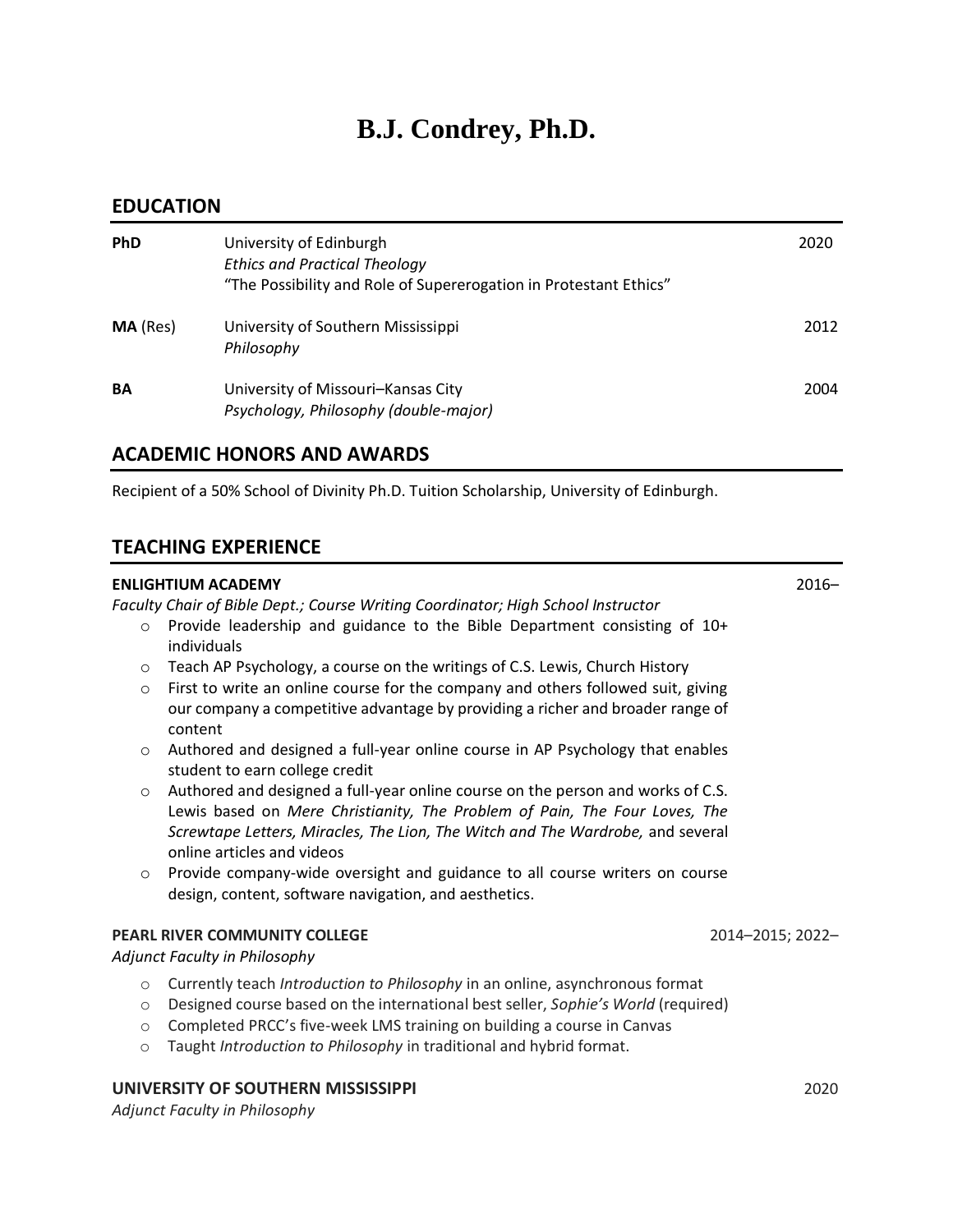# **B.J. Condrey, Ph.D.**

### **EDUCATION**

| <b>PhD</b>      | University of Edinburgh<br><b>Ethics and Practical Theology</b><br>"The Possibility and Role of Supererogation in Protestant Ethics" | 2020 |
|-----------------|--------------------------------------------------------------------------------------------------------------------------------------|------|
| <b>MA</b> (Res) | University of Southern Mississippi<br>Philosophy                                                                                     | 2012 |
| <b>BA</b>       | University of Missouri-Kansas City<br>Psychology, Philosophy (double-major)                                                          | 2004 |

## **ACADEMIC HONORS AND AWARDS**

Recipient of a 50% School of Divinity Ph.D. Tuition Scholarship, University of Edinburgh.

# **TEACHING EXPERIENCE**

#### **ENLIGHTIUM ACADEMY** 2016–

*Faculty Chair of Bible Dept.; Course Writing Coordinator; High School Instructor*

- $\circ$  Provide leadership and guidance to the Bible Department consisting of 10+ individuals
- o Teach AP Psychology, a course on the writings of C.S. Lewis, Church History
- $\circ$  First to write an online course for the company and others followed suit, giving our company a competitive advantage by providing a richer and broader range of content
- o Authored and designed a full-year online course in AP Psychology that enables student to earn college credit
- $\circ$  Authored and designed a full-year online course on the person and works of C.S. Lewis based on *Mere Christianity, The Problem of Pain, The Four Loves, The Screwtape Letters, Miracles, The Lion, The Witch and The Wardrobe,* and several online articles and videos
- o Provide company-wide oversight and guidance to all course writers on course design, content, software navigation, and aesthetics.

#### **PEARL RIVER COMMUNITY COLLEGE** 2014–2015; 2022–

*Adjunct Faculty in Philosophy*

- o Currently teach *Introduction to Philosophy* in an online, asynchronous format
- o Designed course based on the international best seller, *Sophie's World* (required)
- o Completed PRCC's five-week LMS training on building a course in Canvas
- o Taught *Introduction to Philosophy* in traditional and hybrid format.

# **UNIVERSITY OF SOUTHERN MISSISSIPPI** 2020

*Adjunct Faculty in Philosophy*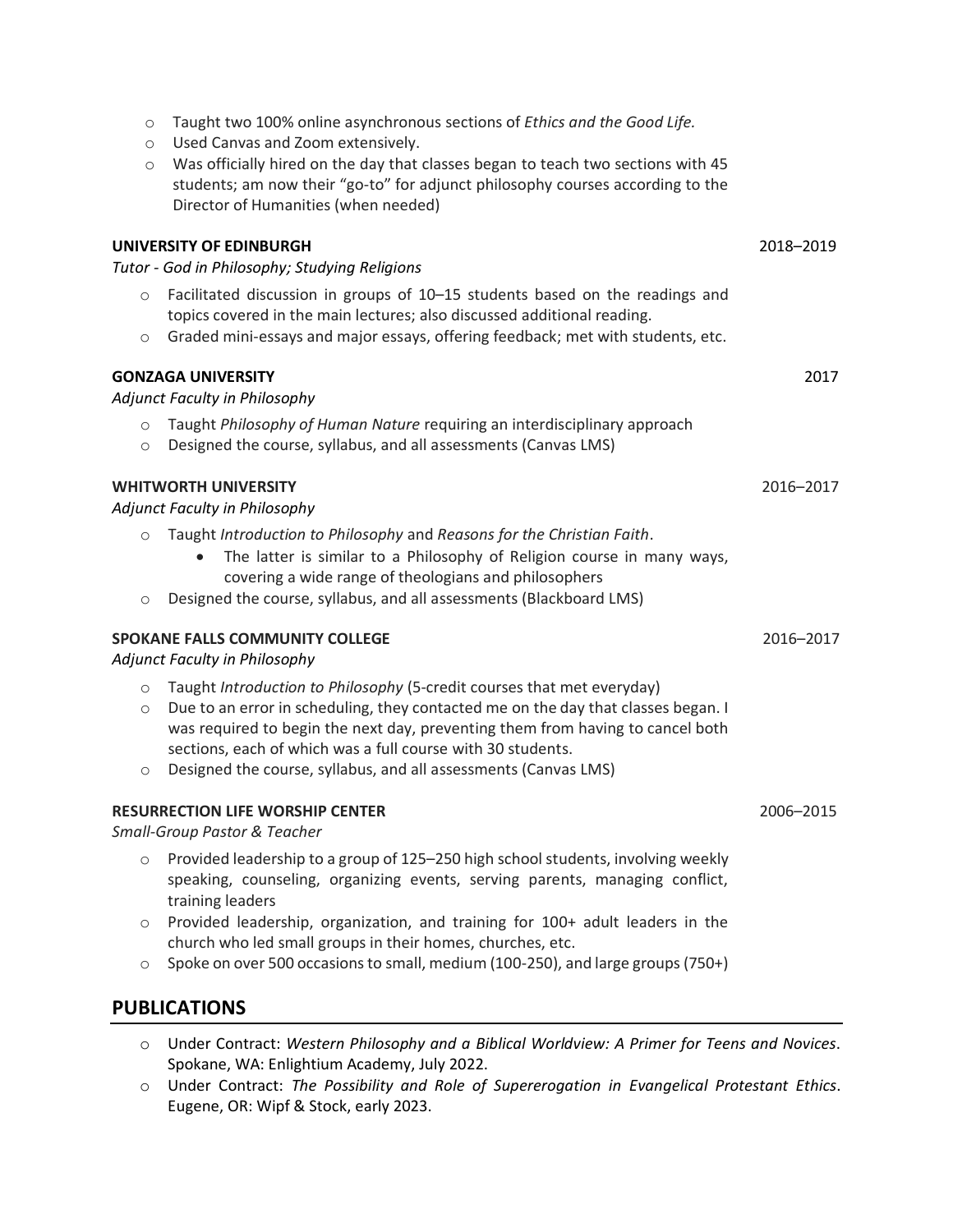| $\circ$<br>$\circ$               | Taught two 100% online asynchronous sections of Ethics and the Good Life.<br>Used Canvas and Zoom extensively.                                                                                                                                                                                                                                                                  |           |
|----------------------------------|---------------------------------------------------------------------------------------------------------------------------------------------------------------------------------------------------------------------------------------------------------------------------------------------------------------------------------------------------------------------------------|-----------|
| $\circ$                          | Was officially hired on the day that classes began to teach two sections with 45<br>students; am now their "go-to" for adjunct philosophy courses according to the<br>Director of Humanities (when needed)                                                                                                                                                                      |           |
|                                  | UNIVERSITY OF EDINBURGH<br>Tutor - God in Philosophy; Studying Religions                                                                                                                                                                                                                                                                                                        | 2018-2019 |
| $\circ$<br>$\circ$               | Facilitated discussion in groups of 10-15 students based on the readings and<br>topics covered in the main lectures; also discussed additional reading.<br>Graded mini-essays and major essays, offering feedback; met with students, etc.                                                                                                                                      |           |
|                                  | <b>GONZAGA UNIVERSITY</b><br>Adjunct Faculty in Philosophy                                                                                                                                                                                                                                                                                                                      | 2017      |
| $\circ$<br>$\circ$               | Taught Philosophy of Human Nature requiring an interdisciplinary approach<br>Designed the course, syllabus, and all assessments (Canvas LMS)                                                                                                                                                                                                                                    |           |
|                                  | <b>WHITWORTH UNIVERSITY</b><br><b>Adjunct Faculty in Philosophy</b>                                                                                                                                                                                                                                                                                                             | 2016-2017 |
| $\circ$<br>$\circ$               | Taught Introduction to Philosophy and Reasons for the Christian Faith.<br>The latter is similar to a Philosophy of Religion course in many ways,<br>covering a wide range of theologians and philosophers<br>Designed the course, syllabus, and all assessments (Blackboard LMS)                                                                                                |           |
|                                  | <b>SPOKANE FALLS COMMUNITY COLLEGE</b><br>Adjunct Faculty in Philosophy                                                                                                                                                                                                                                                                                                         | 2016-2017 |
| $\circ$<br>$\circ$<br>$\bigcirc$ | Taught Introduction to Philosophy (5-credit courses that met everyday)<br>Due to an error in scheduling, they contacted me on the day that classes began. I<br>was required to begin the next day, preventing them from having to cancel both<br>sections, each of which was a full course with 30 students.<br>Designed the course, syllabus, and all assessments (Canvas LMS) |           |
|                                  | <b>RESURRECTION LIFE WORSHIP CENTER</b><br>Small-Group Pastor & Teacher                                                                                                                                                                                                                                                                                                         | 2006-2015 |
| $\circ$                          | Provided leadership to a group of 125-250 high school students, involving weekly<br>speaking, counseling, organizing events, serving parents, managing conflict,<br>training leaders                                                                                                                                                                                            |           |
| $\circ$<br>$\circ$               | Provided leadership, organization, and training for 100+ adult leaders in the<br>church who led small groups in their homes, churches, etc.<br>Spoke on over 500 occasions to small, medium (100-250), and large groups (750+)                                                                                                                                                  |           |
|                                  |                                                                                                                                                                                                                                                                                                                                                                                 |           |

# **PUBLICATIONS**

- o Under Contract: *Western Philosophy and a Biblical Worldview: A Primer for Teens and Novices*. Spokane, WA: Enlightium Academy, July 2022.
- o Under Contract: *The Possibility and Role of Supererogation in Evangelical Protestant Ethics*. Eugene, OR: Wipf & Stock, early 2023.